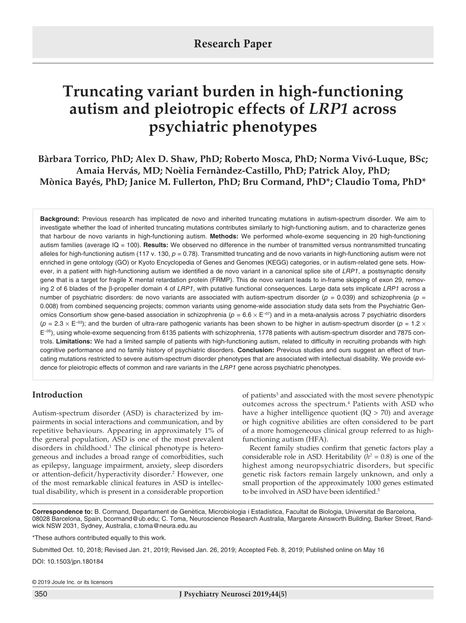# **Truncating variant burden in high-functioning autism and pleiotropic effects of** *LRP1* **across psychiatric phenotypes**

**Bàrbara Torrico, PhD; Alex D. Shaw, PhD; Roberto Mosca, PhD; Norma Vivó-Luque, BSc; Amaia Hervás, MD; Noèlia Fernàndez-Castillo, PhD; Patrick Aloy, PhD; Mònica Bayés, PhD; Janice M. Fullerton, PhD; Bru Cormand, PhD\*; Claudio Toma, PhD\***

**Background:** Previous research has implicated de novo and inherited truncating mutations in autism-spectrum disorder. We aim to investigate whether the load of inherited truncating mutations contributes similarly to high-functioning autism, and to characterize genes that harbour de novo variants in high-functioning autism. **Methods:** We performed whole-exome sequencing in 20 high-functioning autism families (average IQ = 100). **Results:** We observed no difference in the number of transmitted versus nontransmitted truncating alleles for high-functioning autism (117 v. 130, *p* = 0.78). Transmitted truncating and de novo variants in high-functioning autism were not enriched in gene ontology (GO) or Kyoto Encyclopedia of Genes and Genomes (KEGG) categories, or in autism-related gene sets. However, in a patient with high-functioning autism we identified a de novo variant in a canonical splice site of *LRP1*, a postsynaptic density gene that is a target for fragile X mental retardation protein (FRMP). This de novo variant leads to in-frame skipping of exon 29, removing 2 of 6 blades of the β-propeller domain 4 of *LRP1*, with putative functional consequences. Large data sets implicate *LRP1* across a number of psychiatric disorders: de novo variants are associated with autism-spectrum disorder ( $p = 0.039$ ) and schizophrenia ( $p =$ 0.008) from combined sequencing projects; common variants using genome-wide association study data sets from the Psychiatric Genomics Consortium show gene-based association in schizophrenia (*p* = 6.6 × E−07) and in a meta-analysis across 7 psychiatric disorders (*p* = 2.3 × E−03); and the burden of ultra-rare pathogenic variants has been shown to be higher in autism-spectrum disorder (*p* = 1.2 × E−05), using whole-exome sequencing from 6135 patients with schizophrenia, 1778 patients with autism-spectrum disorder and 7875 controls. **Limitations:** We had a limited sample of patients with high-functioning autism, related to difficulty in recruiting probands with high cognitive performance and no family history of psychiatric disorders. **Conclusion:** Previous studies and ours suggest an effect of truncating mutations restricted to severe autism-spectrum disorder phenotypes that are associated with intellectual disability. We provide evidence for pleiotropic effects of common and rare variants in the *LRP1* gene across psychiatric phenotypes.

## **Introduction**

Autism-spectrum disorder (ASD) is characterized by impairments in social interactions and communication, and by repetitive behaviours. Appearing in approximately 1% of the general population, ASD is one of the most prevalent disorders in childhood.<sup>1</sup> The clinical phenotype is heterogeneous and includes a broad range of comorbidities, such as epilepsy, language impairment, anxiety, sleep disorders or attention-deficit/hyperactivity disorder.<sup>2</sup> However, one of the most remarkable clinical features in ASD is intellectual disability, which is present in a considerable proportion

of patients<sup>3</sup> and associated with the most severe phenotypic outcomes across the spectrum.<sup>4</sup> Patients with ASD who have a higher intelligence quotient  $(IO > 70)$  and average or high cognitive abilities are often considered to be part of a more homogeneous clinical group referred to as highfunctioning autism (HFA).

Recent family studies confirm that genetic factors play a considerable role in ASD. Heritability  $(h^2 = 0.8)$  is one of the highest among neuropsychiatric disorders, but specific genetic risk factors remain largely unknown, and only a small proportion of the approximately 1000 genes estimated to be involved in ASD have been identified.<sup>5</sup>

**Correspondence to:** B. Cormand, Departament de Genètica, Microbiologia i Estadística, Facultat de Biologia, Universitat de Barcelona, 08028 Barcelona, Spain, bcormand@ub.edu; C. Toma, Neuroscience Research Australia, Margarete Ainsworth Building, Barker Street, Randwick NSW 2031, Sydney, Australia, c.toma@neura.edu.au

\*These authors contributed equally to this work.

Submitted Oct. 10, 2018; Revised Jan. 21, 2019; Revised Jan. 26, 2019; Accepted Feb. 8, 2019; Published online on May 16

DOI: 10.1503/jpn.180184

© 2019 Joule Inc. or its licensors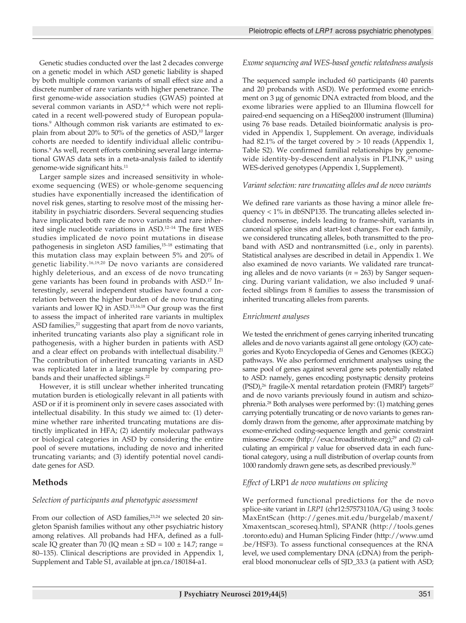Genetic studies conducted over the last 2 decades converge on a genetic model in which ASD genetic liability is shaped by both multiple common variants of small effect size and a discrete number of rare variants with higher penetrance. The first genome-wide association studies (GWAS) pointed at several common variants in ASD,<sup>6-8</sup> which were not replicated in a recent well-powered study of European populations.<sup>9</sup> Although common risk variants are estimated to explain from about 20% to 50% of the genetics of  $ASD<sub>i</sub>$ <sup>10</sup> larger cohorts are needed to identify individual allelic contributions.9 As well, recent efforts combining several large international GWAS data sets in a meta-analysis failed to identify genome-wide significant hits.11

Larger sample sizes and increased sensitivity in wholeexome sequencing (WES) or whole-genome sequencing studies have exponentially increased the identification of novel risk genes, starting to resolve most of the missing heritability in psychiatric disorders. Several sequencing studies have implicated both rare de novo variants and rare inherited single nucleotide variations in ASD.12–14 The first WES studies implicated de novo point mutations in disease pathogenesis in singleton ASD families,15–18 estimating that this mutation class may explain between 5% and 20% of genetic liability.16,19,20 De novo variants are considered highly deleterious, and an excess of de novo truncating gene variants has been found in probands with ASD.17 Interestingly, several independent studies have found a correlation between the higher burden of de novo truncating variants and lower IQ in ASD.15,16,18 Our group was the first to assess the impact of inherited rare variants in multiplex ASD families,<sup>21</sup> suggesting that apart from de novo variants, inherited truncating variants also play a significant role in pathogenesis, with a higher burden in patients with ASD and a clear effect on probands with intellectual disability.<sup>21</sup> The contribution of inherited truncating variants in ASD was replicated later in a large sample by comparing probands and their unaffected siblings.<sup>22</sup>

However, it is still unclear whether inherited truncating mutation burden is etiologically relevant in all patients with ASD or if it is prominent only in severe cases associated with intellectual disability. In this study we aimed to: (1) determine whether rare inherited truncating mutations are distinctly implicated in HFA; (2) identify molecular pathways or biological categories in ASD by considering the entire pool of severe mutations, including de novo and inherited truncating variants; and (3) identify potential novel candidate genes for ASD.

## **Methods**

## *Selection of participants and phenotypic assessment*

From our collection of ASD families,<sup>23,24</sup> we selected 20 singleton Spanish families without any other psychiatric history among relatives. All probands had HFA, defined as a fullscale IQ greater than 70 (IQ mean  $\pm$  SD = 100  $\pm$  14.7; range = 80–135). Clinical descriptions are provided in Appendix 1, Supplement and Table S1, available at jpn.ca/180184-a1.

## *Exome sequencing and WES-based genetic relatedness analysis*

The sequenced sample included 60 participants (40 parents and 20 probands with ASD). We performed exome enrichment on 3 μg of genomic DNA extracted from blood, and the exome libraries were applied to an Illumina flowcell for paired-end sequencing on a HiSeq2000 instrument (Illumina) using 76 base reads. Detailed bioinformatic analysis is provided in Appendix 1, Supplement. On average, individuals had 82.1% of the target covered by > 10 reads (Appendix 1, Table S2). We confirmed familial relationships by genomewide identity-by-descendent analysis in PLINK,<sup>25</sup> using WES-derived genotypes (Appendix 1, Supplement).

## *Variant selection: rare truncating alleles and de novo variants*

We defined rare variants as those having a minor allele frequency < 1% in dbSNP135. The truncating alleles selected included nonsense, indels leading to frame-shift, variants in canonical splice sites and start-lost changes. For each family, we considered truncating alleles, both transmitted to the proband with ASD and nontransmitted (i.e., only in parents). Statistical analyses are described in detail in Appendix 1. We also examined de novo variants. We validated rare truncating alleles and de novo variants (*n* = 263) by Sanger sequencing. During variant validation, we also included 9 unaffected siblings from 8 families to assess the transmission of inherited truncating alleles from parents.

## *Enrichment analyses*

We tested the enrichment of genes carrying inherited truncating alleles and de novo variants against all gene ontology (GO) categories and Kyoto Encyclopedia of Genes and Genomes (KEGG) pathways. We also performed enrichment analyses using the same pool of genes against several gene sets potentially related to ASD: namely, genes encoding postynaptic density proteins (PSD),<sup>26</sup> fragile-X mental retardation protein (FMRP) targets<sup>27</sup> and de novo variants previously found in autism and schizophrenia.28 Both analyses were performed by: (1) matching genes carrying potentially truncating or de novo variants to genes randomly drawn from the genome, after approximate matching by exome-enriched coding-sequence length and genic constraint missense Z-score (http://exac.broadinstitute.org);<sup>29</sup> and (2) calculating an empirical *p* value for observed data in each functional category, using a null distribution of overlap counts from 1000 randomly drawn gene sets, as described previously.30

## *Effect of* LRP1 *de novo mutations on splicing*

We performed functional predictions for the de novo splice-site variant in *LRP1* (chr12:57573110A/G) using 3 tools: MaxEntScan (http://genes.mit.edu/burgelab/maxent/ Xmaxentscan\_scoreseq.html), SPANR (http://tools.genes .toronto.edu) and Human Splicing Finder (http://www.umd .be/HSF3). To assess functional consequences at the RNA level, we used complementary DNA (cDNA) from the peripheral blood mononuclear cells of SJD\_33.3 (a patient with ASD;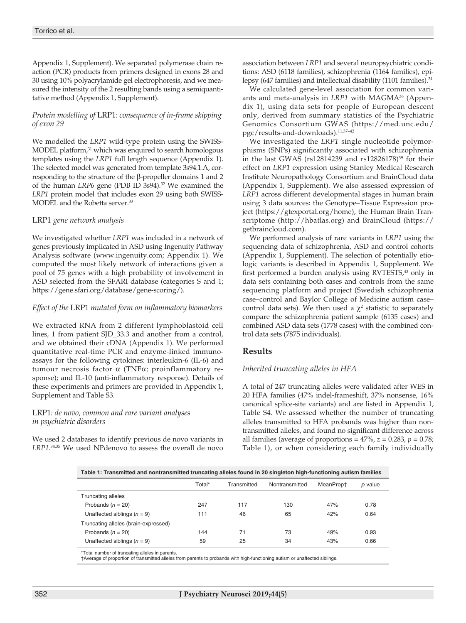Appendix 1, Supplement). We separated polymerase chain reaction (PCR) products from primers designed in exons 28 and 30 using 10% polyacrylamide gel electrophoresis, and we measured the intensity of the 2 resulting bands using a semiquantitative method (Appendix 1, Supplement).

### *Protein modelling of* LRP1*: consequence of in-frame skipping of exon 29*

We modelled the *LRP1* wild-type protein using the SWISS-MODEL platform,<sup>31</sup> which was enquired to search homologous templates using the *LRP1* full length sequence (Appendix 1). The selected model was generated from template 3s94.1.A, corresponding to the structure of the β-propeller domains 1 and 2 of the human *LRP6* gene (PDB ID 3s94).<sup>32</sup> We examined the *LRP1* protein model that includes exon 29 using both SWISS-MODEL and the Robetta server.<sup>33</sup>

#### LRP1 *gene network analysis*

We investigated whether *LRP1* was included in a network of genes previously implicated in ASD using Ingenuity Pathway Analysis software (www.ingenuity.com; Appendix 1). We computed the most likely network of interactions given a pool of 75 genes with a high probability of involvement in ASD selected from the SFARI database (categories S and 1; https://gene.sfari.org/database/gene-scoring/).

#### *Effect of the* LRP1 *mutated form on inflammatory biomarkers*

We extracted RNA from 2 different lymphoblastoid cell lines, 1 from patient SJD\_33.3 and another from a control, and we obtained their cDNA (Appendix 1). We performed quantitative real-time PCR and enzyme-linked immunoassays for the following cytokines: interleukin-6 (IL-6) and tumour necrosis factor α (TNFα; proinflammatory response); and IL-10 (anti-inflammatory response). Details of these experiments and primers are provided in Appendix 1, Supplement and Table S3.

#### LRP1*: de novo, common and rare variant analyses in psychiatric disorders*

We used 2 databases to identify previous de novo variants in *LRP1*. 34,35 We used NPdenovo to assess the overall de novo association between *LRP1* and several neuropsychiatric conditions: ASD (6118 families), schizophrenia (1164 families), epilepsy (647 families) and intellectual disability (1101 families).<sup>34</sup>

We calculated gene-level association for common variants and meta-analysis in *LRP1* with MAGMA36 (Appendix 1), using data sets for people of European descent only, derived from summary statistics of the Psychiatric Genomics Consortium GWAS (https://med.unc.edu/ pgc/results-and-downloads).11,37–42

We investigated the *LRP1* single nucleotide polymorphisms (SNPs) significantly associated with schizophrenia in the last GWAS ( $rs12814239$  and  $rs12826178$ )<sup>39</sup> for their effect on *LRP1* expression using Stanley Medical Research Institute Neuropathology Consortium and BrainCloud data (Appendix 1, Supplement). We also assessed expression of *LRP1* across different developmental stages in human brain using 3 data sources: the Genotype–Tissue Expression project (https://gtexportal.org/home), the Human Brain Transcriptome (http://hbatlas.org) and BrainCloud (https:// getbraincloud.com).

We performed analysis of rare variants in *LRP1* using the sequencing data of schizophrenia, ASD and control cohorts (Appendix 1, Supplement). The selection of potentially etiologic variants is described in Appendix 1, Supplement. We first performed a burden analysis using RVTESTS,<sup>43</sup> only in data sets containing both cases and controls from the same sequencing platform and project (Swedish schizophrenia case–control and Baylor College of Medicine autism case– control data sets). We then used a  $\chi^2$  statistic to separately compare the schizophrenia patient sample (6135 cases) and combined ASD data sets (1778 cases) with the combined control data sets (7875 individuals).

## **Results**

#### *Inherited truncating alleles in HFA*

A total of 247 truncating alleles were validated after WES in 20 HFA families (47% indel-frameshift, 37% nonsense, 16% canonical splice-site variants) and are listed in Appendix 1, Table S4. We assessed whether the number of truncating alleles transmitted to HFA probands was higher than nontransmitted alleles, and found no significant difference across all families (average of proportions =  $47\%$ ,  $z = 0.283$ ,  $p = 0.78$ ; Table 1), or when considering each family individually

| Table 1: Transmitted and nontransmitted truncating alleles found in 20 singleton high-functioning autism families |  |  |
|-------------------------------------------------------------------------------------------------------------------|--|--|
|                                                                                                                   |  |  |

|                                      | Total* | Transmitted | Nontransmitted | MeanPropt | p value |
|--------------------------------------|--------|-------------|----------------|-----------|---------|
| <b>Truncating alleles</b>            |        |             |                |           |         |
| Probands $(n = 20)$                  | 247    | 117         | 130            | 47%       | 0.78    |
| Unaffected siblings $(n = 9)$        | 111    | 46          | 65             | 42%       | 0.64    |
| Truncating alleles (brain-expressed) |        |             |                |           |         |
| Probands $(n = 20)$                  | 144    | 71          | 73             | 49%       | 0.93    |
| Unaffected siblings $(n = 9)$        | 59     | 25          | 34             | 43%       | 0.66    |

Total number of truncating alleles in parents.

†Average of proportion of transmitted alleles from parents to probands with high-functioning autism or unaffected siblings.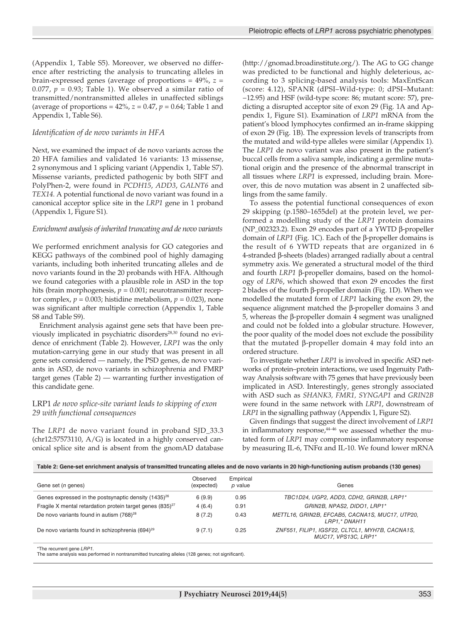(Appendix 1, Table S5). Moreover, we observed no difference after restricting the analysis to truncating alleles in brain-expressed genes (average of proportions = 49%, *z* = 0.077,  $p = 0.93$ ; Table 1). We observed a similar ratio of transmitted/nontransmitted alleles in unaffected siblings (average of proportions =  $42\%$ ,  $z = 0.47$ ,  $p = 0.64$ ; Table 1 and Appendix 1, Table S6).

#### *Identification of de novo variants in HFA*

Next, we examined the impact of de novo variants across the 20 HFA families and validated 16 variants: 13 missense, 2 synonymous and 1 splicing variant (Appendix 1, Table S7). Missense variants, predicted pathogenic by both SIFT and PolyPhen-2, were found in *PCDH15*, *ADD3*, *GALNT6* and *TEX14*. A potential functional de novo variant was found in a canonical acceptor splice site in the *LRP1* gene in 1 proband (Appendix 1, Figure S1).

#### *Enrichment analysis of inherited truncating and de novo variants*

We performed enrichment analysis for GO categories and KEGG pathways of the combined pool of highly damaging variants, including both inherited truncating alleles and de novo variants found in the 20 probands with HFA. Although we found categories with a plausible role in ASD in the top hits (brain morphogenesis,  $p = 0.001$ ; neurotransmitter receptor complex,  $p = 0.003$ ; histidine metabolism,  $p = 0.023$ ), none was significant after multiple correction (Appendix 1, Table S8 and Table S9).

Enrichment analysis against gene sets that have been previously implicated in psychiatric disorders<sup>28,30</sup> found no evidence of enrichment (Table 2). However, *LRP1* was the only mutation-carrying gene in our study that was present in all gene sets considered — namely, the PSD genes, de novo variants in ASD, de novo variants in schizophrenia and FMRP target genes (Table 2) — warranting further investigation of this candidate gene.

#### LRP1 *de novo splice-site variant leads to skipping of exon 29 with functional consequences*

The *LRP1* de novo variant found in proband SJD\_33.3 (chr12:57573110, A/G) is located in a highly conserved canonical splice site and is absent from the gnomAD database (http://gnomad.broadinstitute.org/). The AG to GG change was predicted to be functional and highly deleterious, according to 3 splicing-based analysis tools: MaxEntScan (score: 4.12), SPANR (dPSI–Wild-type: 0; dPSI–Mutant: −12.95) and HSF (wild-type score: 86; mutant score: 57), predicting a disrupted acceptor site of exon 29 (Fig. 1A and Appendix 1, Figure S1). Examination of *LRP1* mRNA from the patient's blood lymphocytes confirmed an in-frame skipping of exon 29 (Fig. 1B). The expression levels of transcripts from the mutated and wild-type alleles were similar (Appendix 1). The *LRP1* de novo variant was also present in the patient's buccal cells from a saliva sample, indicating a germline mutational origin and the presence of the abnormal transcript in all tissues where *LRP1* is expressed, including brain. Moreover, this de novo mutation was absent in 2 unaffected siblings from the same family.

To assess the potential functional consequences of exon 29 skipping (p.1580–1655del) at the protein level, we performed a modelling study of the *LRP1* protein domains (NP\_002323.2). Exon 29 encodes part of a YWTD β-propeller domain of *LRP1* (Fig. 1C). Each of the β-propeller domains is the result of 6 YWTD repeats that are organized in 6 4-stranded β-sheets (blades) arranged radially about a central symmetry axis. We generated a structural model of the third and fourth *LRP1* β-propeller domains, based on the homology of *LRP6*, which showed that exon 29 encodes the first 2 blades of the fourth β-propeller domain (Fig. 1D). When we modelled the mutated form of *LRP1* lacking the exon 29, the sequence alignment matched the β-propeller domains 3 and 5, whereas the β-propeller domain 4 segment was unaligned and could not be folded into a globular structure. However, the poor quality of the model does not exclude the possibility that the mutated β-propeller domain 4 may fold into an ordered structure.

To investigate whether *LRP1* is involved in specific ASD networks of protein–protein interactions, we used Ingenuity Pathway Analysis software with 75 genes that have previously been implicated in ASD. Interestingly, genes strongly associated with ASD such as *SHANK3, FMR1, SYNGAP1* and *GRIN2B* were found in the same network with *LRP1*, downstream of *LRP1* in the signalling pathway (Appendix 1, Figure S2).

Given findings that suggest the direct involvement of *LRP1* in inflammatory response,<sup>44-46</sup> we assessed whether the mutated form of *LRP1* may compromise inflammatory response by measuring IL-6, TNFα and IL-10. We found lower mRNA

**Table 2: Gene-set enrichment analysis of transmitted truncating alleles and de novo variants in 20 high-functioning autism probands (130 genes)**

| Gene set ( <i>n</i> genes)                                            | Observed<br>(expected) | Empirical<br>p value | Genes                                                                   |
|-----------------------------------------------------------------------|------------------------|----------------------|-------------------------------------------------------------------------|
| Genes expressed in the postsynaptic density (1435) <sup>26</sup>      | 6(9.9)                 | 0.95                 | TBC1D24, UGP2, ADD3, CDH2, GRIN2B, LRP1*                                |
| Fragile X mental retardation protein target genes (835) <sup>27</sup> | 4(6.4)                 | 0.91                 | GRIN2B. NPAS2. DIDO1. LRP1*                                             |
| De novo variants found in autism (768) <sup>28</sup>                  | 8(7.2)                 | 0.43                 | METTL16, GRIN2B, EFCAB5, CACNA1S, MUC17, UTP20,<br>LRP1.* DNAH11        |
| De novo variants found in schizophrenia (694) <sup>29</sup>           | 9(7.1)                 | 0.25                 | ZNF551, FILIP1, IGSF22, CLTCL1, MYH7B, CACNA1S,<br>MUC17. VPS13C. LRP1* |

\*The recurrent gene *LRP1.*

The same analysis was performed in nontransmitted truncating alleles (128 genes; not significant).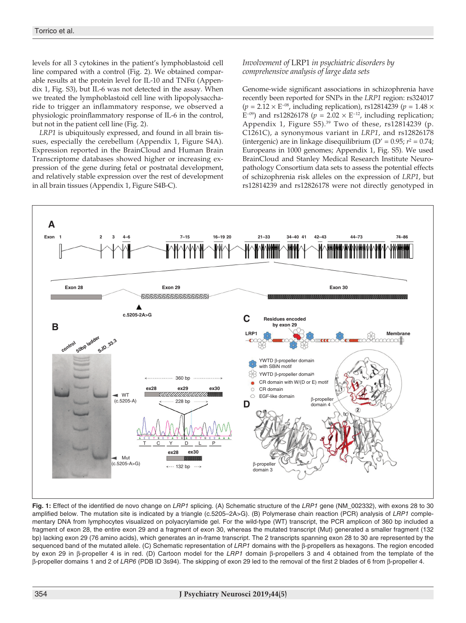levels for all 3 cytokines in the patient's lymphoblastoid cell line compared with a control (Fig. 2). We obtained comparable results at the protein level for IL-10 and TNF $\alpha$  (Appendix 1, Fig. S3), but IL-6 was not detected in the assay. When we treated the lymphoblastoid cell line with lipopolysaccharide to trigger an inflammatory response, we observed a physiologic proinflammatory response of IL-6 in the control, but not in the patient cell line (Fig. 2).

*LRP1* is ubiquitously expressed, and found in all brain tissues, especially the cerebellum (Appendix 1, Figure S4A). Expression reported in the BrainCloud and Human Brain Transcriptome databases showed higher or increasing expression of the gene during fetal or postnatal development, and relatively stable expression over the rest of development in all brain tissues (Appendix 1, Figure S4B-C).

*Involvement of* LRP1 *in psychiatric disorders by comprehensive analysis of large data sets*

Genome-wide significant associations in schizophrenia have recently been reported for SNPs in the *LRP1* region: rs324017 (*p* = 2.12 × E−08, including replication), rs12814239 (*p* = 1.48 × E<sup>−09</sup>) and rs12826178 ( $p = 2.02 \times E^{-12}$ , including replication; Appendix 1, Figure  $S5$ ).<sup>39</sup> Two of these, rs12814239 (p. C1261C), a synonymous variant in *LRP1*, and rs12826178 (intergenic) are in linkage disequilibrium ( $D' = 0.95$ ;  $r^2 = 0.74$ ; Europeans in 1000 genomes; Appendix 1, Fig. S5). We used BrainCloud and Stanley Medical Research Institute Neuropathology Consortium data sets to assess the potential effects of schizophrenia risk alleles on the expression of *LRP1*, but rs12814239 and rs12826178 were not directly genotyped in



**Fig. 1:** Effect of the identified de novo change on *LRP1* splicing. (A) Schematic structure of the *LRP1* gene (NM\_002332), with exons 28 to 30 amplified below. The mutation site is indicated by a triangle (c.5205–2A>G). (B) Polymerase chain reaction (PCR) analysis of *LRP1* complementary DNA from lymphocytes visualized on polyacrylamide gel. For the wild-type (WT) transcript, the PCR amplicon of 360 bp included a fragment of exon 28, the entire exon 29 and a fragment of exon 30, whereas the mutated transcript (Mut) generated a smaller fragment (132 bp) lacking exon 29 (76 amino acids), which generates an in-frame transcript. The 2 transcripts spanning exon 28 to 30 are represented by the sequenced band of the mutated allele. (C) Schematic representation of *LRP1* domains with the β-propellers as hexagons. The region encoded by exon 29 in β-propeller 4 is in red. (D) Cartoon model for the *LRP1* domain β-propellers 3 and 4 obtained from the template of the β-propeller domains 1 and 2 of *LRP6* (PDB ID 3s94). The skipping of exon 29 led to the removal of the first 2 blades of 6 from β-propeller 4.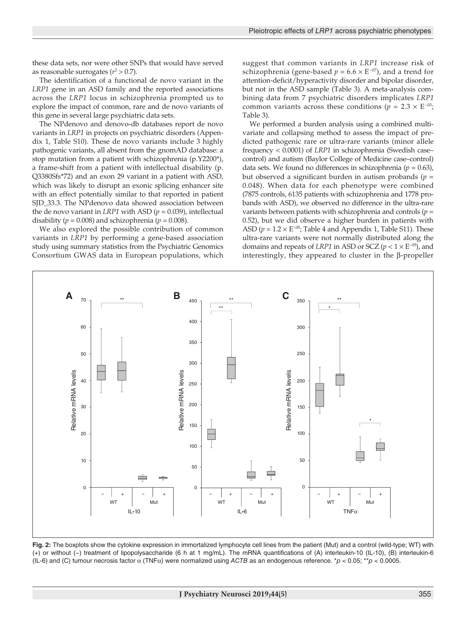these data sets, nor were other SNPs that would have served as reasonable surrogates  $(r^2 > 0.7)$ .

The identification of a functional de novo variant in the *LRP1* gene in an ASD family and the reported associations across the *LRP1* locus in schizophrenia prompted us to explore the impact of common, rare and de novo variants of this gene in several large psychiatric data sets.

The NPdenovo and denovo-db databases report de novo variants in *LRP1* in projects on psychiatric disorders (Appendix 1, Table S10). These de novo variants include 3 highly pathogenic variants, all absent from the gnomAD database: a stop mutation from a patient with schizophrenia (p.Y2200\*), a frame-shift from a patient with intellectual disability (p. Q3380Sfs\*72) and an exon 29 variant in a patient with ASD, which was likely to disrupt an exonic splicing enhancer site with an effect potentially similar to that reported in patient SJD\_33.3. The NPdenovo data showed association between the de novo variant in *LRP1* with ASD ( $p = 0.039$ ), intellectual disability ( $p = 0.008$ ) and schizophrenia ( $p = 0.008$ ).

We also explored the possible contribution of common variants in *LRP1* by performing a gene-based association study using summary statistics from the Psychiatric Genomics Consortium GWAS data in European populations, which suggest that common variants in *LRP1* increase risk of schizophrenia (gene-based  $p = 6.6 \times E^{-07}$ ), and a trend for attention-deficit/hyperactivity disorder and bipolar disorder, but not in the ASD sample (Table 3). A meta-analysis combining data from 7 psychiatric disorders implicates *LRP1* common variants across these conditions ( $p = 2.3 \times E^{-03}$ ; Table 3).

We performed a burden analysis using a combined multivariate and collapsing method to assess the impact of predicted pathogenic rare or ultra-rare variants (minor allele frequency < 0.0001) of *LRP1* in schizophrenia (Swedish case– control) and autism (Baylor College of Medicine case–control) data sets. We found no differences in schizophrenia ( $p = 0.63$ ), but observed a significant burden in autism probands  $(p =$ 0.048). When data for each phenotype were combined (7875 controls, 6135 patients with schizophrenia and 1778 probands with ASD), we observed no difference in the ultra-rare variants between patients with schizophrenia and controls (*p* = 0.52), but we did observe a higher burden in patients with ASD ( $p = 1.2 \times E^{-0.5}$ ; Table 4 and Appendix 1, Table S11). These ultra-rare variants were not normally distributed along the domains and repeats of *LRP1* in ASD or SCZ ( $p < 1 \times E^{-0.5}$ ), and interestingly, they appeared to cluster in the β-propeller



**Fig. 2:** The boxplots show the cytokine expression in immortalized lymphocyte cell lines from the patient (Mut) and a control (wild-type; WT) with (+) or without (−) treatment of lipopolysaccharide (6 h at 1 mg/mL). The mRNA quantifications of (A) interleukin-10 (IL-10), (B) interleukin-6 (IL-6) and (C) tumour necrosis factor α (TNFα) were normalized using *ACTB* as an endogenous reference. \**p* < 0.05; \*\**p* < 0.0005.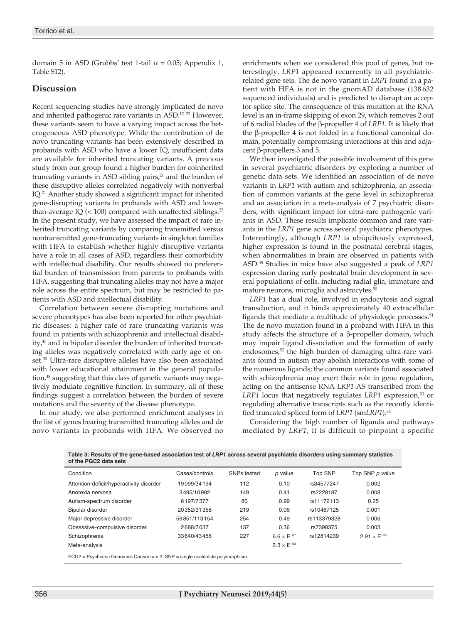domain 5 in ASD (Grubbs' test 1-tail  $\alpha$  = 0.05; Appendix 1, Table S12).

## **Discussion**

Recent sequencing studies have strongly implicated de novo and inherited pathogenic rare variants in ASD.<sup>12-22</sup> However, these variants seem to have a varying impact across the heterogeneous ASD phenotype. While the contribution of de novo truncating variants has been extensively described in probands with ASD who have a lower IQ, insufficient data are available for inherited truncating variants. A previous study from our group found a higher burden for coinherited truncating variants in ASD sibling pairs, $2<sup>1</sup>$  and the burden of these disruptive alleles correlated negatively with nonverbal IQ.<sup>21</sup> Another study showed a significant impact for inherited gene-disrupting variants in probands with ASD and lowerthan-average IQ  $(< 100$ ) compared with unaffected siblings.<sup>22</sup> In the present study, we have assessed the impact of rare inherited truncating variants by comparing transmitted versus nontransmitted gene-truncating variants in singleton families with HFA to establish whether highly disruptive variants have a role in all cases of ASD, regardless their comorbidity with intellectual disability. Our results showed no preferential burden of transmission from parents to probands with HFA, suggesting that truncating alleles may not have a major role across the entire spectrum, but may be restricted to patients with ASD and intellectual disability.

Correlation between severe disrupting mutations and severe phenotypes has also been reported for other psychiatric diseases: a higher rate of rare truncating variants was found in patients with schizophrenia and intellectual disability,<sup>47</sup> and in bipolar disorder the burden of inherited truncating alleles was negatively correlated with early age of onset.<sup>30</sup> Ultra-rare disruptive alleles have also been associated with lower educational attainment in the general population,<sup>48</sup> suggesting that this class of genetic variants may negatively modulate cognitive function. In summary, all of these findings suggest a correlation between the burden of severe mutations and the severity of the disease phenotype.

In our study, we also performed enrichment analyses in the list of genes bearing transmitted truncating alleles and de novo variants in probands with HFA. We observed no

enrichments when we considered this pool of genes, but interestingly, *LRP1* appeared recurrently in all psychiatricrelated gene sets. The de novo variant in *LRP1* found in a patient with HFA is not in the gnomAD database (138 632 sequenced individuals) and is predicted to disrupt an acceptor splice site. The consequence of this mutation at the RNA level is an in-frame skipping of exon 29, which removes 2 out of 6 radial blades of the β-propeller 4 of *LRP1*. It is likely that the β-propeller 4 is not folded in a functional canonical domain, potentially compromising interactions at this and adjacent β-propellers 3 and 5.

We then investigated the possible involvement of this gene in several psychiatric disorders by exploring a number of genetic data sets. We identified an association of de novo variants in *LRP1* with autism and schizophrenia, an association of common variants at the gene level in schizophrenia and an association in a meta-analysis of 7 psychiatric disorders, with significant impact for ultra-rare pathogenic variants in ASD. These results implicate common and rare variants in the *LRP1* gene across several psychiatric phenotypes. Interestingly, although *LRP1* is ubiquitously expressed, higher expression is found in the postnatal cerebral stages, when abnormalities in brain are observed in patients with ASD.49 Studies in mice have also suggested a peak of *LRP1* expression during early postnatal brain development in several populations of cells, including radial glia, immature and mature neurons, microglia and astrocytes.<sup>50</sup>

*LRP1* has a dual role, involved in endocytosis and signal transduction, and it binds approximately 40 extracellular ligands that mediate a multitude of physiologic processes.<sup>51</sup> The de novo mutation found in a proband with HFA in this study affects the structure of a β-propeller domain, which may impair ligand dissociation and the formation of early endosomes;<sup>52</sup> the high burden of damaging ultra-rare variants found in autism may abolish interactions with some of the numerous ligands; the common variants found associated with schizophrenia may exert their role in gene regulation, acting on the antisense RNA *LRP1*-AS transcribed from the *LRP1* locus that negatively regulates *LRP1* expression,<sup>53</sup> or regulating alternative transcripts such as the recently identified truncated spliced form of *LRP1* (sm*LRP1*).54

Considering the high number of ligands and pathways mediated by *LRP1*, it is difficult to pinpoint a specific

| of the PGC2 data sets                                                             |                |             |                      |                |                       |
|-----------------------------------------------------------------------------------|----------------|-------------|----------------------|----------------|-----------------------|
| Condition                                                                         | Cases/controls | SNPs tested | $p$ value            | <b>Top SNP</b> | Top SNP p value       |
| Attention-deficit/hyperactivity disorder                                          | 19099/34194    | 112         | 0.10                 | rs34577247     | 0.002                 |
| Anorexia nervosa                                                                  | 3495/10982     | 149         | 0.41                 | rs2228187      | 0.008                 |
| Autism-spectrum disorder                                                          | 6197/7377      | 80          | 0.99                 | rs11172113     | 0.25                  |
| Bipolar disorder                                                                  | 20352/31358    | 219         | 0.06                 | rs10467125     | 0.001                 |
| Major depressive disorder                                                         | 59851/113154   | 254         | 0.49                 | rs113379328    | 0.006                 |
| Obsessive-compulsive disorder                                                     | 2688/7037      | 137         | 0.36                 | rs7398375      | 0.003                 |
| Schizophrenia                                                                     | 33640/43456    | 227         | $6.6 \times E^{-07}$ | rs12814239     | $2.91 \times E^{-09}$ |
| Meta-analysis                                                                     |                |             | $2.3 \times E^{-03}$ |                |                       |
| $PCG2 = Psuchiatric Genomics Consortium 2: SNP = single nucleotide polymorphism.$ |                |             |                      |                |                       |

**Table 3: Results of the gene-based association test of** *LRP1* **across several psychiatric disorders using summary statistics**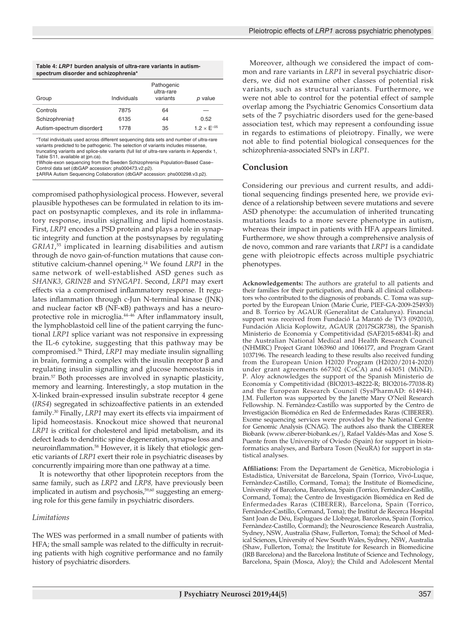| Table 4: LRP1 burden analysis of ultra-rare variants in autism-<br>spectrum disorder and schizophrenia* |             |                                      |                      |  |  |  |
|---------------------------------------------------------------------------------------------------------|-------------|--------------------------------------|----------------------|--|--|--|
| Group                                                                                                   | Individuals | Pathogenic<br>ultra-rare<br>variants | p value              |  |  |  |
| Controls                                                                                                | 7875        | 64                                   |                      |  |  |  |
|                                                                                                         |             |                                      |                      |  |  |  |
| Schizophrenia <sup>+</sup>                                                                              | 6135        | 44                                   | 0.52                 |  |  |  |
| Autism-spectrum disorder‡                                                                               | 1778        | 35                                   | $1.2 \times E^{-05}$ |  |  |  |

\*Total individuals used across different sequencing data sets and number of ultra-rare variants predicted to be pathogenic. The selection of variants includes missense, truncating variants and splice-site variants (full list of ultra-rare variants in Appendix 1, Table S11, available at jpn.ca).

†Whole-exon sequencing from the Sweden Schizophrenia Population-Based Case–

Control data set (dbGAP accession: phs000473.v2.p2). ‡ARRA Autism Sequencing Collaboration (dbGAP accession: phs000298.v3.p2).

compromised pathophysiological process. However, several plausible hypotheses can be formulated in relation to its impact on postsynaptic complexes, and its role in inflammatory response, insulin signalling and lipid homeostasis. First, *LRP1* encodes a PSD protein and plays a role in synaptic integrity and function at the postsynapses by regulating *GRIA1*, 55 implicated in learning disabilities and autism through de novo gain-of-function mutations that cause constitutive calcium-channel opening.14 We found *LRP1* in the same network of well-established ASD genes such as *SHANK3, GRIN2B* and *SYNGAP1*. Second, *LRP1* may exert effects via a compromised inflammatory response. It regulates inflammation through c-Jun N-terminal kinase (JNK) and nuclear factor κB (NF-κB) pathways and has a neuroprotective role in microglia.<sup>44-46</sup> After inflammatory insult, the lymphoblastoid cell line of the patient carrying the functional *LRP1* splice variant was not responsive in expressing the IL-6 cytokine, suggesting that this pathway may be compromised.56 Third, *LRP1* may mediate insulin signalling in brain, forming a complex with the insulin receptor β and regulating insulin signalling and glucose homeostasis in brain.57 Both processes are involved in synaptic plasticity, memory and learning. Interestingly, a stop mutation in the X-linked brain-expressed insulin substrate receptor 4 gene (*IRS4*) segregated in schizoaffective patients in an extended family.30 Finally, *LRP1* may exert its effects via impairment of lipid homeostasis. Knockout mice showed that neuronal *LRP1* is critical for cholesterol and lipid metabolism, and its defect leads to dendritic spine degeneration, synapse loss and neuroinflammation.58 However, it is likely that etiologic genetic variants of *LRP1* exert their role in psychiatric diseases by concurrently impairing more than one pathway at a time.

It is noteworthy that other lipoprotein receptors from the same family, such as *LRP2* and *LRP8,* have previously been implicated in autism and psychosis,<sup>59,60</sup> suggesting an emerging role for this gene family in psychiatric disorders.

#### *Limitations*

The WES was performed in a small number of patients with HFA; the small sample was related to the difficulty in recruiting patients with high cognitive performance and no family history of psychiatric disorders.

Moreover, although we considered the impact of common and rare variants in *LRP1* in several psychiatric disorders, we did not examine other classes of potential risk variants, such as structural variants. Furthermore, we were not able to control for the potential effect of sample overlap among the Psychiatric Genomics Consortium data sets of the 7 psychiatric disorders used for the gene-based association test, which may represent a confounding issue in regards to estimations of pleiotropy. Finally, we were not able to find potential biological consequences for the schizophrenia-associated SNPs in *LRP1*.

## **Conclusion**

Considering our previous and current results, and additional sequencing findings presented here, we provide evidence of a relationship between severe mutations and severe ASD phenotype: the accumulation of inherited truncating mutations leads to a more severe phenotype in autism, whereas their impact in patients with HFA appears limited. Furthermore, we show through a comprehensive analysis of de novo, common and rare variants that *LRP1* is a candidate gene with pleiotropic effects across multiple psychiatric phenotypes.

**Acknowledgements:** The authors are grateful to all patients and their families for their participation, and thank all clinical collaborators who contributed to the diagnosis of probands. C. Toma was supported by the European Union (Marie Curie, PIEF-GA-2009-254930) and B. Torrico by AGAUR (Generalitat de Catalunya). Financial support was received from Fundació La Marató de TV3 (092010), Fundación Alicia Koplowitz, AGAUR (2017SGR738), the Spanish Ministerio de Economía y Competitividad (SAF2015-68341-R) and the Australian National Medical and Health Research Council (NHMRC) Project Grant 1063960 and 1066177, and Program Grant 1037196. The research leading to these results also received funding from the European Union H2020 Program (H2020/2014-2020) under grant agreements 667302 (CoCA) and 643051 (MiND). P. Aloy acknowledges the support of the Spanish Ministerio de Economía y Competitividad (BIO2013-48222-R; BIO2016-77038-R) and the European Research Council (SysPharmAD: 614944). J.M. Fullerton was supported by the Janette Mary O'Neil Research Fellowship. N. Fernàndez-Castillo was supported by the Centro de Investigación Biomédica en Red de Enfermedades Raras (CIBERER). Exome sequencing services were provided by the National Centre for Genomic Analysis (CNAG). The authors also thank the CIBERER Biobank (www.ciberer-biobank.es/), Rafael Valdés-Mas and Xose S. Puente from the University of Oviedo (Spain) for support in bioinformatics analyses, and Barbara Toson (NeuRA) for support in statistical analyses.

**Affiliations:** From the Departament de Genètica, Microbiologia i Estadística, Universitat de Barcelona, Spain (Torrico, Vivó-Luque, Fernàndez-Castillo, Cormand, Toma); the Institute of Biomedicine, University of Barcelona, Barcelona, Spain (Torrico, Fernàndez-Castillo, Cormand, Toma); the Centro de Investigación Biomédica en Red de Enfermedades Raras (CIBERER), Barcelona, Spain (Torrico, Fernàndez-Castillo, Cormand, Toma); the Institut de Recerca Hospital Sant Joan de Déu, Esplugues de Llobregat, Barcelona, Spain (Torrico, Fernàndez-Castillo, Cormand); the Neuroscience Research Australia, Sydney, NSW, Australia (Shaw, Fullerton, Toma); the School of Medical Sciences, University of New South Wales, Sydney, NSW, Australia (Shaw, Fullerton, Toma); the Institute for Research in Biomedicine (IRB Barcelona) and the Barcelona Institute of Science and Technology, Barcelona, Spain (Mosca, Aloy); the Child and Adolescent Mental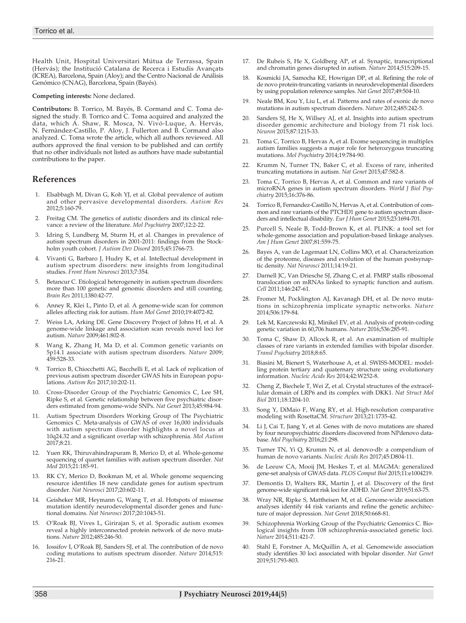Health Unit, Hospital Universitari Mútua de Terrassa, Spain (Hervás); the Institució Catalana de Recerca i Estudis Avançats (ICREA), Barcelona, Spain (Aloy); and the Centro Nacional de Análisis Genómico (CNAG), Barcelona, Spain (Bayés).

#### **Competing interests:** None declared.

**Contributors:** B. Torrico, M. Bayés, B. Cormand and C. Toma designed the study. B. Torrico and C. Toma acquired and analyzed the data, which A. Shaw, R. Mosca, N. Vivó-Luque, A. Hervás, N. Fernàndez-Castillo, P. Aloy, J. Fullerton and B. Cormand also analyzed. C. Toma wrote the article, which all authors reviewed. All authors approved the final version to be published and can certify that no other individuals not listed as authors have made substantial contributions to the paper.

#### **References**

- 1. Elsabbagh M, Divan G, Koh YJ, et al. Global prevalence of autism and other pervasive developmental disorders. *Autism Res* 2012;5:160-79.
- 2. Freitag CM. The genetics of autistic disorders and its clinical relevance: a review of the literature. *Mol Psychiatry* 2007;12:2-22.
- 3. Idring S, Lundberg M, Sturm H, et al. Changes in prevalence of autism spectrum disorders in 2001-2011: findings from the Stockholm youth cohort. *J Autism Dev Disord* 2015;45:1766-73.
- 4. Vivanti G, Barbaro J, Hudry K, et al. Intellectual development in autism spectrum disorders: new insights from longitudinal studies. *Front Hum Neurosci* 2013;7:354.
- 5. Betancur C. Etiological heterogeneity in autism spectrum disorders: more than 100 genetic and genomic disorders and still counting. *Brain Res* 2011;1380:42-77.
- 6. Anney R, Klei L, Pinto D, et al. A genome-wide scan for common alleles affecting risk for autism. *Hum Mol Genet* 2010;19:4072-82.
- 7. Weiss LA, Arking DE. Gene Discovery Project of Johns H, et al. A genome-wide linkage and association scan reveals novel loci for autism. *Nature* 2009;461:802-8.
- 8. Wang K, Zhang H, Ma D, et al. Common genetic variants on 5p14.1 associate with autism spectrum disorders. *Nature* 2009; 459:528-33.
- Torrico B, Chiocchetti AG, Bacchelli E, et al. Lack of replication of previous autism spectrum disorder GWAS hits in European populations. *Autism Res* 2017;10:202-11.
- 10. Cross-Disorder Group of the Psychiatric Genomics C, Lee SH, Ripke S, et al. Genetic relationship between five psychiatric disorders estimated from genome-wide SNPs. *Nat Genet* 2013;45:984-94.
- 11. Autism Spectrum Disorders Working Group of The Psychiatric Genomics C. Meta-analysis of GWAS of over 16,000 individuals with autism spectrum disorder highlights a novel locus at 10q24.32 and a significant overlap with schizophrenia. *Mol Autism* 2017;8:21.
- 12. Yuen RK, Thiruvahindrapuram B, Merico D, et al. Whole-genome sequencing of quartet families with autism spectrum disorder. *Nat Med* 2015;21:185-91.
- 13. RK CY, Merico D, Bookman M, et al. Whole genome sequencing resource identifies 18 new candidate genes for autism spectrum disorder. *Nat Neurosci* 2017;20:602-11.
- 14. Geisheker MR, Heymann G, Wang T, et al. Hotspots of missense mutation identify neurodevelopmental disorder genes and functional domains. *Nat Neurosci* 2017;20:1043-51.
- 15. O'Roak BJ, Vives L, Girirajan S, et al. Sporadic autism exomes reveal a highly interconnected protein network of de novo mutations. *Nature* 2012;485:246-50.
- 16. Iossifov I, O'Roak BJ, Sanders SJ, et al. The contribution of de novo coding mutations to autism spectrum disorder. *Nature* 2014;515: 216-21.
- 17. De Rubeis S, He X, Goldberg AP, et al. Synaptic, transcriptional and chromatin genes disrupted in autism. *Nature* 2014;515:209-15.
- 18. Kosmicki JA, Samocha KE, Howrigan DP, et al. Refining the role of de novo protein-truncating variants in neurodevelopmental disorders by using population reference samples. *Nat Genet* 2017;49:504-10.
- 19. Neale BM, Kou Y, Liu L, et al. Patterns and rates of exonic de novo mutations in autism spectrum disorders. *Nature* 2012;485:242-5.
- 20. Sanders SJ, He X, Willsey AJ, et al. Insights into autism spectrum disorder genomic architecture and biology from 71 risk loci. *Neuron* 2015;87:1215-33.
- 21. Toma C, Torrico B, Hervas A, et al. Exome sequencing in multiplex autism families suggests a major role for heterozygous truncating mutations. *Mol Psychiatry* 2014;19:784-90.
- 22. Krumm N, Turner TN, Baker C, et al. Excess of rare, inherited truncating mutations in autism. *Nat Genet* 2015;47:582-8.
- 23. Toma C, Torrico B, Hervas A, et al. Common and rare variants of microRNA genes in autism spectrum disorders. *World J Biol Psychiatry* 2015;16:376-86.
- 24. Torrico B, Fernandez-Castillo N, Hervas A, et al. Contribution of common and rare variants of the PTCHD1 gene to autism spectrum disorders and intellectual disability. *Eur J Hum Genet* 2015;23:1694-701.
- 25. Purcell S, Neale B, Todd-Brown K, et al. PLINK: a tool set for whole-genome association and population-based linkage analyses. *Am J Hum Genet* 2007;81:559-75.
- 26. Bayes A, van de Lagemaat LN, Collins MO, et al. Characterization of the proteome, diseases and evolution of the human postsynaptic density. *Nat Neurosci* 2011;14:19-21.
- 27. Darnell JC, Van Driesche SJ, Zhang C, et al. FMRP stalls ribosomal translocation on mRNAs linked to synaptic function and autism. *Cell* 2011;146:247-61.
- 28. Fromer M, Pocklington AJ, Kavanagh DH, et al. De novo mutations in schizophrenia implicate synaptic networks. *Nature* 2014;506:179-84.
- 29. Lek M, Karczewski KJ, Minikel EV, et al. Analysis of protein-coding genetic variation in 60,706 humans. *Nature* 2016;536:285-91.
- 30. Toma C, Shaw D, Allcock R, et al. An examination of multiple classes of rare variants in extended families with bipolar disorder. *Transl Psychiatry* 2018;8:65.
- Biasini M, Bienert S, Waterhouse A, et al. SWISS-MODEL: modelling protein tertiary and quaternary structure using evolutionary information. *Nucleic Acids Res* 2014;42:W252-8.
- 32. Cheng Z, Biechele T, Wei Z, et al. Crystal structures of the extracellular domain of LRP6 and its complex with DKK1. *Nat Struct Mol Biol* 2011;18:1204-10.
- 33. Song Y, DiMaio F, Wang RY, et al. High-resolution comparative modeling with RosettaCM. *Structure* 2013;21:1735-42.
- 34. Li J, Cai T, Jiang Y, et al. Genes with de novo mutations are shared by four neuropsychiatric disorders discovered from NPdenovo database. *Mol Psychiatry* 2016;21:298.
- 35. Turner TN, Yi Q, Krumm N, et al. denovo-db: a compendium of human de novo variants. *Nucleic Acids Res* 2017;45:D804-11.
- 36. de Leeuw CA, Mooij JM, Heskes T, et al. MAGMA: generalized gene-set analysis of GWAS data. *PLOS Comput Biol* 2015;11:e1004219.
- 37. Demontis D, Walters RK, Martin J, et al. Discovery of the first genome-wide significant risk loci for ADHD. *Nat Genet* 2019;51:63-75.
- 38. Wray NR, Ripke S, Mattheisen M, et al. Genome-wide association analyses identify 44 risk variants and refine the genetic architecture of major depression. *Nat Genet* 2018;50:668-81.
- 39. Schizophrenia Working Group of the Psychiatric Genomics C. Biological insights from 108 schizophrenia-associated genetic loci. *Nature* 2014;511:421-7.
- 40. Stahl E, Forstner A, McQuillin A, et al. Genomewide association study identifies 30 loci associated with bipolar disorder. *Nat Genet* 2019;51:793-803.